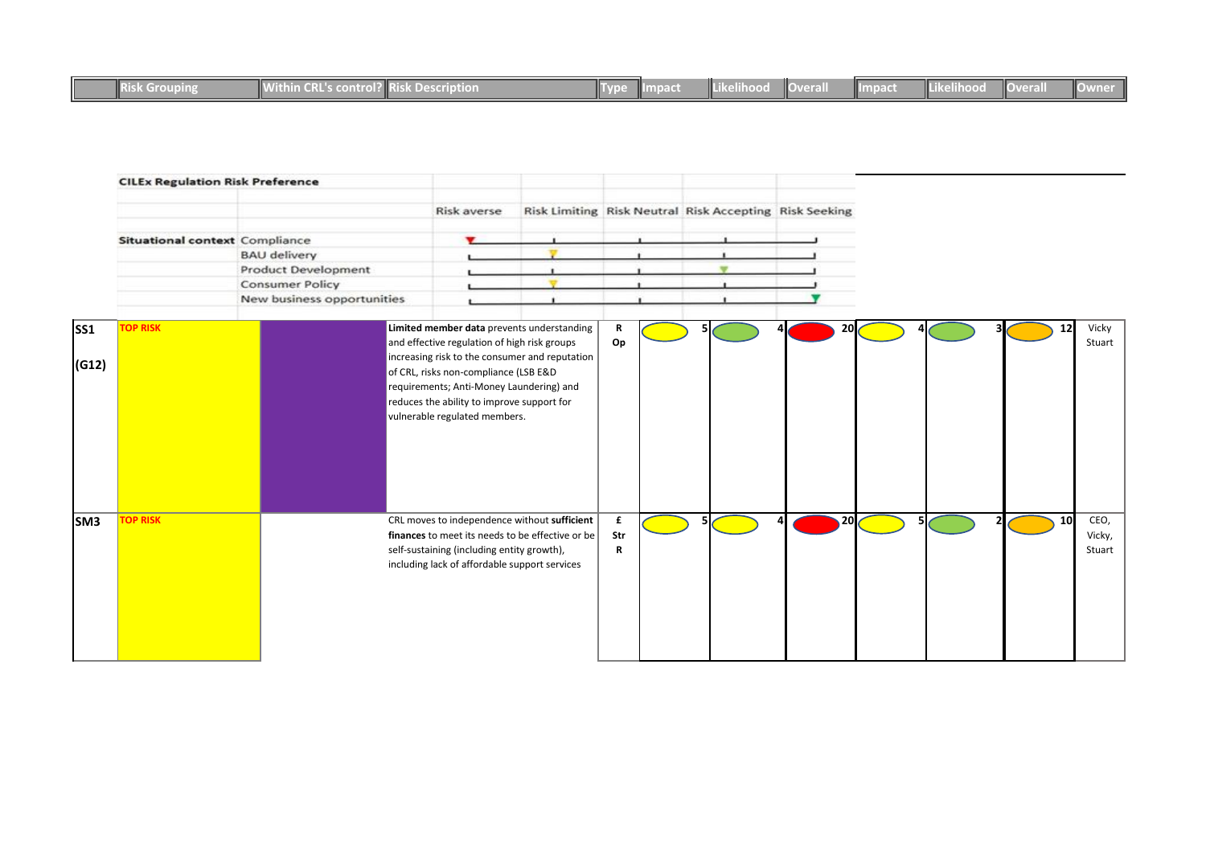|  | <b>Exoupline</b> | <b>INV.V.H</b><br>UOIL | mai ilio bilis. |  | $\nabla - \nabla$ |  | wera. | WIDE | rke ma | <b>NOverall</b> |  |
|--|------------------|------------------------|-----------------|--|-------------------|--|-------|------|--------|-----------------|--|
|--|------------------|------------------------|-----------------|--|-------------------|--|-------|------|--------|-----------------|--|

|       | <b>CILEx Regulation Risk Preference</b> |                            |                                                                                                                                                                                                                    |               |                                                        |    |  |    |                          |
|-------|-----------------------------------------|----------------------------|--------------------------------------------------------------------------------------------------------------------------------------------------------------------------------------------------------------------|---------------|--------------------------------------------------------|----|--|----|--------------------------|
|       |                                         |                            | Risk averse                                                                                                                                                                                                        |               | Risk Limiting Risk Neutral Risk Accepting Risk Seeking |    |  |    |                          |
|       | Situational context Compliance          |                            |                                                                                                                                                                                                                    |               |                                                        |    |  |    |                          |
|       |                                         | <b>BAU delivery</b>        |                                                                                                                                                                                                                    |               |                                                        |    |  |    |                          |
|       |                                         | Product Development        |                                                                                                                                                                                                                    |               |                                                        |    |  |    |                          |
|       |                                         | <b>Consumer Policy</b>     |                                                                                                                                                                                                                    |               |                                                        |    |  |    |                          |
|       |                                         | New business opportunities |                                                                                                                                                                                                                    |               |                                                        |    |  |    |                          |
| SS1   | <b>TOP RISK</b>                         |                            | Limited member data prevents understanding<br>and effective regulation of high risk groups                                                                                                                         | R<br>Op       |                                                        | 20 |  | 12 | Vicky<br>Stuart          |
| (G12) |                                         |                            | increasing risk to the consumer and reputation<br>of CRL, risks non-compliance (LSB E&D<br>requirements; Anti-Money Laundering) and<br>reduces the ability to improve support for<br>vulnerable regulated members. |               |                                                        |    |  |    |                          |
| SM3   | <b>TOP RISK</b>                         |                            | CRL moves to independence without sufficient<br>finances to meet its needs to be effective or be<br>self-sustaining (including entity growth),<br>including lack of affordable support services                    | £<br>Str<br>R |                                                        | 20 |  | 10 | CEO,<br>Vicky,<br>Stuart |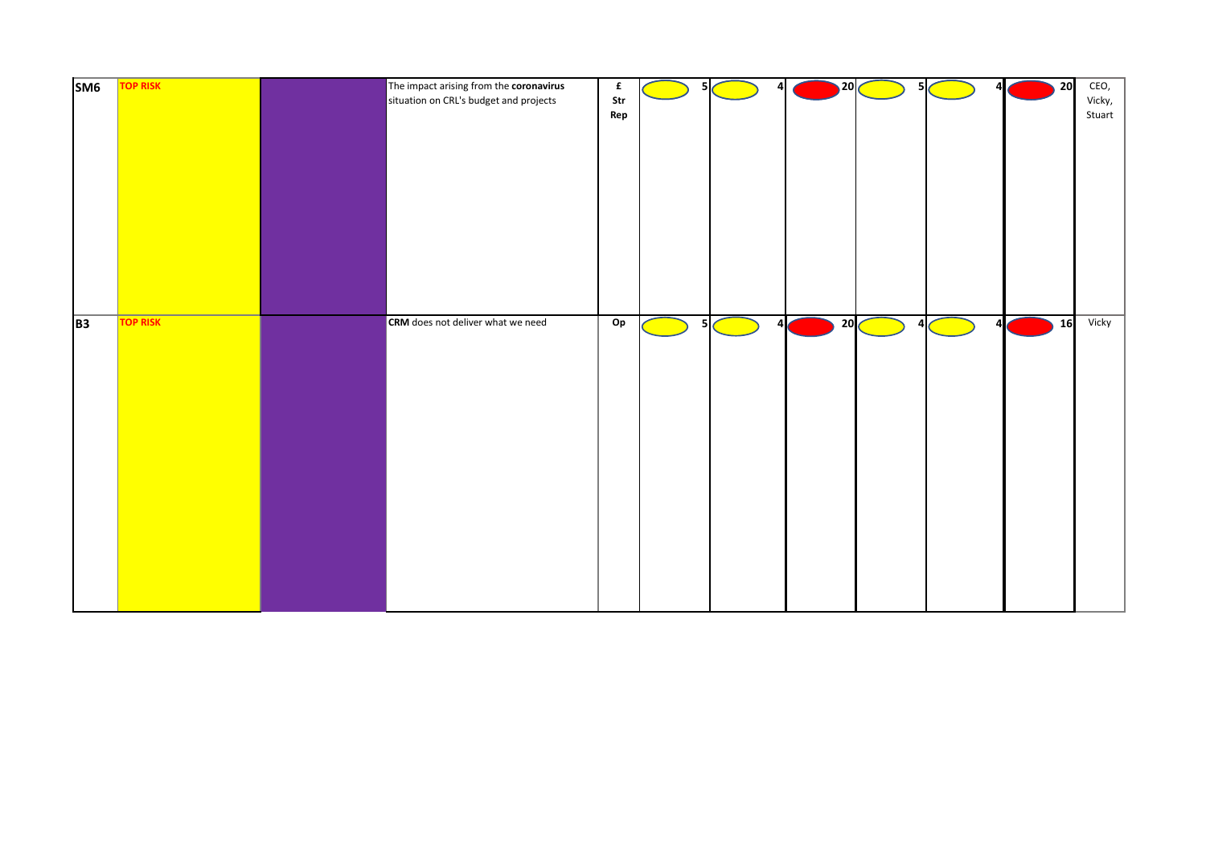| S <sub>M6</sub> | <b>TOP RISK</b> | The impact arising from the coronavirus<br>situation on CRL's budget and projects | $\mathbf f$<br>Str<br>Rep | 5              | 4<br><b>Contract Contract Contract Contract Contract Contract Contract Contract Contract Contract Contract Contract Co</b> | $\overline{\phantom{a}}$ 20 $\overline{\phantom{a}}$ | - 5 I<br><b>Service Service</b>                                                                                            | Δ                           | 20 | CEO,<br>Vicky,<br>Stuart |
|-----------------|-----------------|-----------------------------------------------------------------------------------|---------------------------|----------------|----------------------------------------------------------------------------------------------------------------------------|------------------------------------------------------|----------------------------------------------------------------------------------------------------------------------------|-----------------------------|----|--------------------------|
| <b>B3</b>       | <b>TOP RISK</b> | <b>CRM</b> does not deliver what we need                                          | Op                        | 5 <sub>l</sub> | $\overline{a}$<br><b>Service Service</b>                                                                                   | 20 <sub>0</sub>                                      | $\Delta$<br>and the state of the state of the state of the state of the state of the state of the state of the state of th | Δ<br><b>Service Service</b> | 16 | Vicky                    |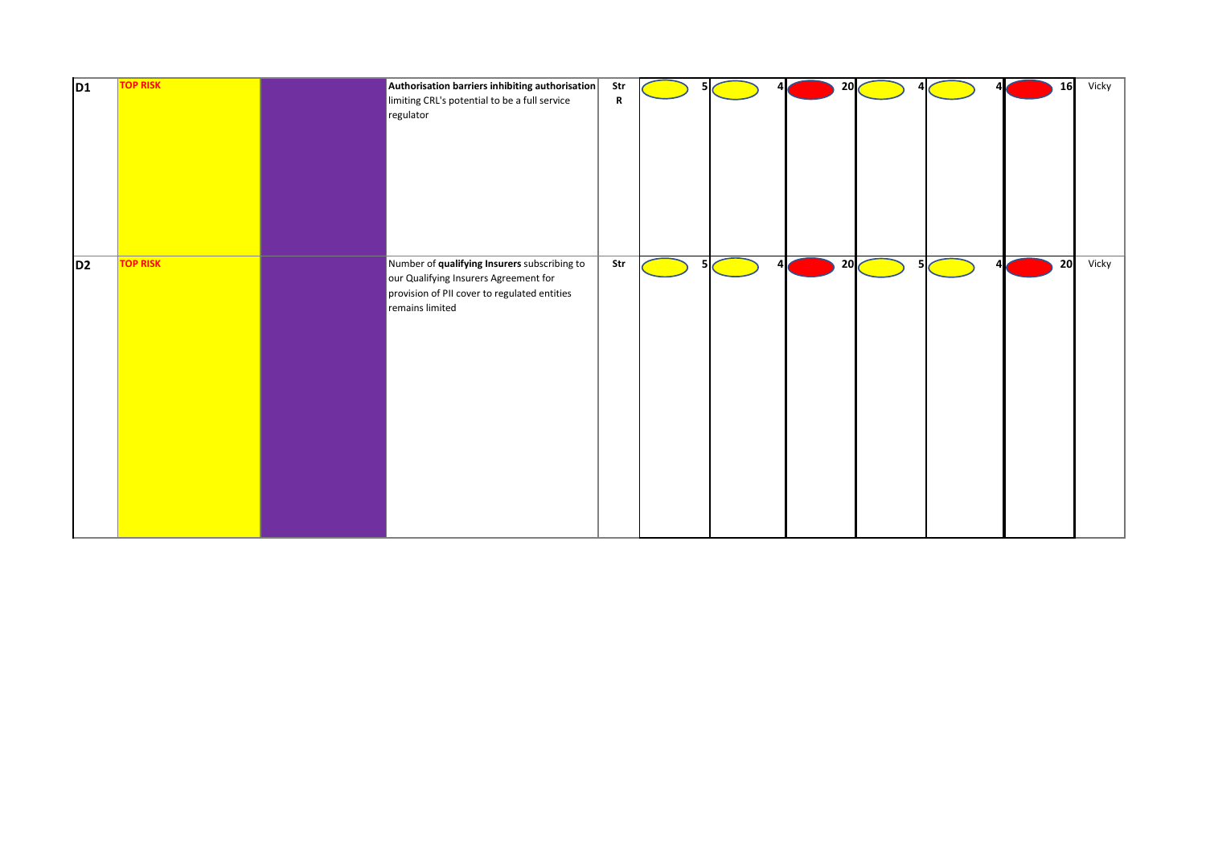| D <sub>1</sub> | <b>TOP RISK</b> | Authorisation barriers inhibiting authorisation<br>limiting CRL's potential to be a full service<br>regulator                                            | Str<br>$\mathbf R$ |   | 20 |     | 16 | Vicky |
|----------------|-----------------|----------------------------------------------------------------------------------------------------------------------------------------------------------|--------------------|---|----|-----|----|-------|
| D <sub>2</sub> | <b>TOP RISK</b> | Number of qualifying Insurers subscribing to<br>our Qualifying Insurers Agreement for<br>provision of PII cover to regulated entities<br>remains limited | Str                | 5 | 20 | 51, | 20 | Vicky |